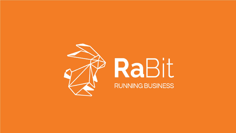

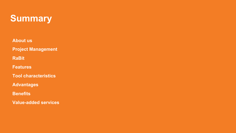

**About us**

**Project Management**

**RaBit**

**Features**

**Tool characteristics**

**Advantages**

**Benefits**

**Value-added services**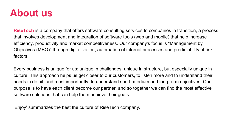# **About us**

**RiseTech** is a company that offers software consulting services to companies in transition, a process that involves development and integration of software tools (web and mobile) that help increase efficiency, productivity and market competitiveness. Our company's focus is "Management by Objectives (MBO)" through digitalization, automation of internal processes and predictability of risk factors.

Every business is unique for us: unique in challenges, unique in structure, but especially unique in culture. This approach helps us get closer to our customers, to listen more and to understand their needs in detail, and most importantly, to understand short, medium and long-term objectives. Our purpose is to have each client become our partner, and so together we can find the most effective software solutions that can help them achieve their goals.

'Enjoy' summarizes the best the culture of RiseTech company.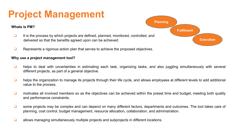# **Project Management**

### **Whats is PM?**

- ❏ It is the process by which projects are defined, planned, monitored, controlled, and delivered so that the benefits agreed upon can be achieved.
- ❏ Represents a rigorous action plan that serves to achieve the proposed objectives.

### **Why use a project management tool?**

- ❏ helps to deal with uncertainties in estimating each task, organizing tasks, and also juggling simultaneously with several different projects, as part of a general objective.
- ❏ helps the organization to manage its projects through their life cycle, and allows employees at different levels to add additional value to the process.
- ❏ motivates all involved members so as the objectives can be achieved within the preset time and budget, meeting both quality and performance constraints.
- ❏ some projects may be complex and can depend on many different factors, departments and outcomes. The tool takes care of planning, cost control, budget management, resource allocation, collaboration, and administration.
- ❏ allows managing simultaneously multiple projects and subprojects in different locations.

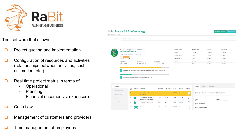

Tool software that allows:

- ❏ Project quoting and implementation
- ❏ Configuration of resources and activities (relationships between activities, cost estimation, etc.)
- Real time project status in terms of:
	- **Operational**
	- Planning
	- Financial (incomes vs. expenses)
- ❏ Cash flow
- Management of customers and providers
- ❏ Time management of employees

| sta proiecte / Proiect                                                  | roiect Renovare Sph Tom Constanta                                              |              |                                                                                                                      |               |             |             |                     |                |                                          |       |               | Vizualizeaza status proiect                      | Exporta project |
|-------------------------------------------------------------------------|--------------------------------------------------------------------------------|--------------|----------------------------------------------------------------------------------------------------------------------|---------------|-------------|-------------|---------------------|----------------|------------------------------------------|-------|---------------|--------------------------------------------------|-----------------|
| Informatii proiect                                                      | Timpi<br>Documente                                                             |              | Facturi                                                                                                              |               |             |             |                     |                |                                          |       |               |                                                  |                 |
|                                                                         | Renovare Sph Tom Constanta<br>SEPHORA COSMETICS ROMANIA S.A.                   |              |                                                                                                                      |               |             |             | Categorii (bugete)  |                | Cost (fara TVA)                          |       | Valoare T.V.A | Cost (cu TVA)                                    |                 |
|                                                                         |                                                                                |              |                                                                                                                      |               |             | Arhitectura |                     |                | 11 880 €                                 |       | 2 257.20€     | 14 137.20€                                       |                 |
|                                                                         | Locatie: Locatiile proiectului nu au fost setate.<br><b>Faza:</b> Implementare |              |                                                                                                                      |               |             |             | Instalati ventilare |                | 1020€                                    |       | 193.80€       | 1213,80€                                         |                 |
|                                                                         | Sef project: Daniel Gratie                                                     |              |                                                                                                                      |               |             |             | Instalati electrice |                | 1 450 €                                  |       | 275.50 €      | 1725.50€                                         |                 |
| Cost (fara TVA)                                                         |                                                                                |              | Valoare T.V.A                                                                                                        | Cost (cu TVA) |             | Mobilier    |                     |                | 31 270 €                                 |       | 5941.30€      | 37 211,30 €                                      |                 |
| 49 460 €                                                                |                                                                                |              | 9 397.40€                                                                                                            | 58 857,40 €   |             |             | Servicii aditionale |                | 3840€                                    |       | 729,60 €      | 4 569.60€                                        |                 |
|                                                                         |                                                                                |              | Progres operational raportat la bugetul initial (operatii initiale efectuate din toate operatiile proiectului): 84%. |               |             |             |                     |                |                                          |       |               |                                                  |                 |
|                                                                         |                                                                                |              | Progres financiar raportat la bugetul initial (consumuri inregistrate): 24,53%.                                      |               |             |             |                     |                |                                          |       |               |                                                  |                 |
|                                                                         | Nr.<br>CRT                                                                     | Status       | Denumire                                                                                                             | Cantitate     | Pret Unitar | Total       | Consum              | Actiuni        | Detalii                                  | Timpi | Consumuri     |                                                  |                 |
|                                                                         |                                                                                |              | Lucrari de demolare si<br>dezafectari                                                                                |               |             | 3505E       | 0.6                 | $\overline{C}$ |                                          |       |               | O Categoria "Lucrari de demolare si dezafectari" |                 |
| Arhitectura<br>Instalatii ventilare<br>Instalații electrice<br>Mobilier | 1.1                                                                            | $\checkmark$ | Demolare fatada fronton<br>alucobond cu logo existent                                                                | 1 buc         | 310€        | 310€        | 130,81 €            | $(\epsilon)$   | Nivel                                    |       |               | Descriere                                        |                 |
| Servicii aditionale                                                     | 1.2                                                                            | $\checkmark$ | Demontare usi existente si<br>evacuare                                                                               | 3 buc         | 40€         | 120€        | 145.36€             | (F)            | $\circ$<br>Numar subcategorii<br>$\circ$ |       |               | Descrierea nu a fost setata.                     |                 |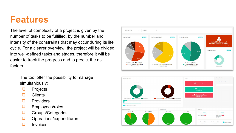# **Features**

The level of complexity of a project is given by the number of tasks to be fulfilled, by the number and intensity of the constraints that may occur during its life cycle. For a clearer overview, the project will be divided into well-defined tasks and stages, therefore it will be easier to track the progress and to predict the risk factors.

The tool offer the possibility to manage simultaniously:

- ❏ Projects
- ❏ Clients
- ❏ Providers
- ❏ Employees/roles
- ❏ Groups/Categories
- ❏ Operations/expenditures
- ❏ Invoices



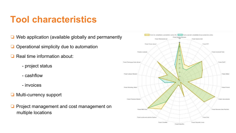# **Tool characteristics**

❏ Web application (available globally and permanently)

- ❏ Operational simplicity due to automation
- ❏ Real time information about:
	- project status
	- cashflow
	- invoices
- ❏ Multi-currency support
- ❏ Project management and cost management on multiple locations

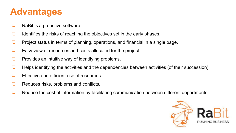## **Advantages**

- ❏ RaBit is a proactive software.
- ❏ Identifies the risks of reaching the objectives set in the early phases.
- ❏ Project status in terms of planning, operations, and financial in a single page.
- ❏ Easy view of resources and costs allocated for the project.
- ❏ Provides an intuitive way of identifying problems.
- ❏ Helps identifying the activities and the dependencies between activities (of their succession).
- ❏ Effective and efficient use of resources.
- ❏ Reduces risks, problems and conflicts.
- ❏ Reduce the cost of information by facilitating communication between different departments.

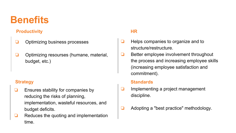# **Benefits**

## **Productivity HR**

- ❏ Optimizing business processes
- ❏ Optimizing resourses (humane, material, budget, etc.)

- ❏ Ensures stability for companies by reducing the risks of planning, implementation, wasteful resources, and budget deficits.
- ❏ Reduces the quoting and implementation time.

- ❏ Helps companies to organize and to structure/restructure.
- ❏ Better employee involvement throughout the process and increasing employee skills (increasing employee satisfaction and commitment).

## **Strategy Standards**

- ❏ Implementing a project management discipline.
- ❏ Adopting a "best practice" methodology.